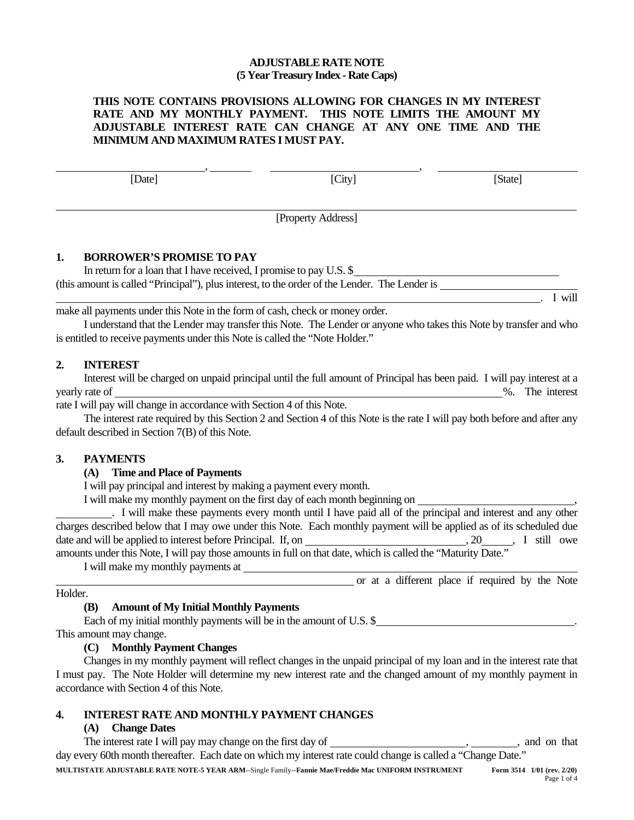#### **ADJUSTABLE RATE NOTE (5 Year Treasury Index - Rate Caps)**

# **THIS NOTE CONTAINS PROVISIONS ALLOWING FOR CHANGES IN MY INTEREST RATE AND MY MONTHLY PAYMENT. THIS NOTE LIMITS THE AMOUNT MY ADJUSTABLE INTEREST RATE CAN CHANGE AT ANY ONE TIME AND THE MINIMUM AND MAXIMUM RATES I MUST PAY.**

, ,

[Date] [City] [State]

[Property Address]

# **1. BORROWER'S PROMISE TO PAY**

In return for a loan that I have received, I promise to pay U.S. \$

(this amount is called "Principal"), plus interest, to the order of the Lender. The Lender is

. I will

make all payments under this Note in the form of cash, check or money order.

I understand that the Lender may transfer this Note. The Lender or anyone who takes this Note by transfer and who is entitled to receive payments under this Note is called the "Note Holder."

# **2. INTEREST**

Interest will be charged on unpaid principal until the full amount of Principal has been paid. I will pay interest at a yearly rate of %. The interest

rate I will pay will change in accordance with Section 4 of this Note.

The interest rate required by this Section 2 and Section 4 of this Note is the rate I will pay both before and after any default described in Section 7(B) of this Note.

### **3. PAYMENTS**

# **(A) Time and Place of Payments**

I will pay principal and interest by making a payment every month.

I will make my monthly payment on the first day of each month beginning on

. I will make these payments every month until I have paid all of the principal and interest and any other charges described below that I may owe under this Note. Each monthly payment will be applied as of its scheduled due date and will be applied to interest before Principal. If, on  $\frac{1}{2}$  ,  $\frac{1}{2}$  ,  $\frac{1}{2}$  still owe amounts under this Note, I will pay those amounts in full on that date, which is called the "Maturity Date."

I will make my monthly payments at

or at a different place if required by the Note

#### Holder.

### **(B) Amount of My Initial Monthly Payments**

Each of my initial monthly payments will be in the amount of U.S. \$ This amount may change.

### **(C) Monthly Payment Changes**

Changes in my monthly payment will reflect changes in the unpaid principal of my loan and in the interest rate that I must pay. The Note Holder will determine my new interest rate and the changed amount of my monthly payment in accordance with Section 4 of this Note.

# **4. INTEREST RATE AND MONTHLY PAYMENT CHANGES**

### **(A) Change Dates**

**MULTISTATE ADJUSTABLE RATE NOTE-5 YEAR ARM**--Single Family--**Fannie Mae/Freddie Mac UNIFORM INSTRUMENT Form 3514 1/01 (rev. 2/20)** The interest rate I will pay may change on the first day of , , and on that day every 60th month thereafter. Each date on which my interest rate could change is called a "Change Date."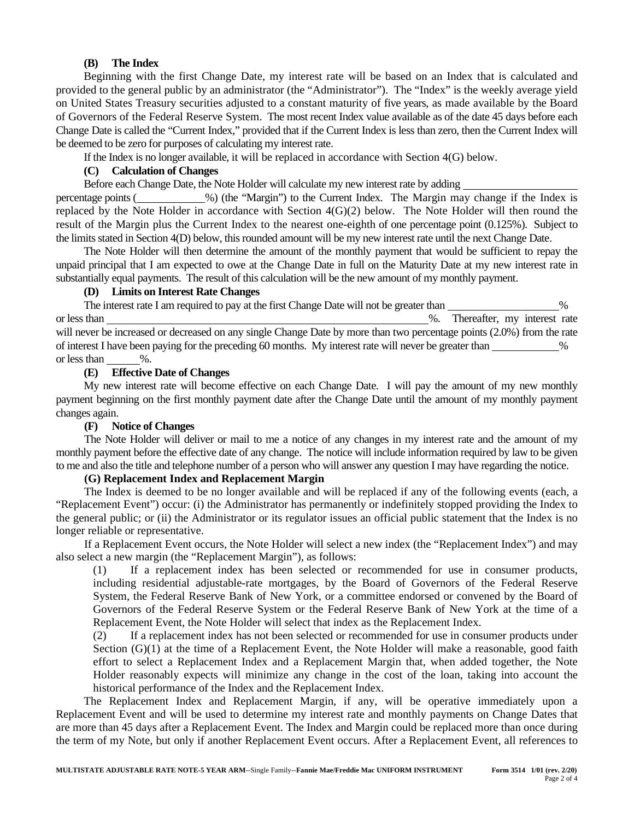#### **(B) The Index**

Beginning with the first Change Date, my interest rate will be based on an Index that is calculated and provided to the general public by an administrator (the "Administrator"). The "Index" is the weekly average yield on United States Treasury securities adjusted to a constant maturity of five years, as made available by the Board of Governors of the Federal Reserve System. The most recent Index value available as of the date 45 days before each Change Date is called the "Current Index," provided that if the Current Index is less than zero, then the Current Index will be deemed to be zero for purposes of calculating my interest rate.

If the Index is no longer available, it will be replaced in accordance with Section 4(G) below.

### **(C) Calculation of Changes**

Before each Change Date, the Note Holder will calculate my new interest rate by adding

percentage points (
2018) (the "Margin") to the Current Index. The Margin may change if the Index is replaced by the Note Holder in accordance with Section 4(G)(2) below. The Note Holder will then round the result of the Margin plus the Current Index to the nearest one-eighth of one percentage point (0.125%). Subject to the limits stated in Section 4(D) below, this rounded amount will be my new interest rate until the next Change Date.

The Note Holder will then determine the amount of the monthly payment that would be sufficient to repay the unpaid principal that I am expected to owe at the Change Date in full on the Maturity Date at my new interest rate in substantially equal payments. The result of this calculation will be the new amount of my monthly payment.

#### **(D) Limits on Interest Rate Changes**

The interest rate I am required to pay at the first Change Date will not be greater than  $\%$ or less than  $\%$ . Thereafter, my interest rate will never be increased or decreased on any single Change Date by more than two percentage points (2.0%) from the rate of interest I have been paying for the preceding 60 months. My interest rate will never be greater than % or less than %.

#### **(E) Effective Date of Changes**

My new interest rate will become effective on each Change Date. I will pay the amount of my new monthly payment beginning on the first monthly payment date after the Change Date until the amount of my monthly payment changes again.

### **(F) Notice of Changes**

The Note Holder will deliver or mail to me a notice of any changes in my interest rate and the amount of my monthly payment before the effective date of any change. The notice will include information required by law to be given to me and also the title and telephone number of a person who will answer any question I may have regarding the notice.

# **(G) Replacement Index and Replacement Margin**

The Index is deemed to be no longer available and will be replaced if any of the following events (each, a "Replacement Event") occur: (i) the Administrator has permanently or indefinitely stopped providing the Index to the general public; or (ii) the Administrator or its regulator issues an official public statement that the Index is no longer reliable or representative.

If a Replacement Event occurs, the Note Holder will select a new index (the "Replacement Index") and may also select a new margin (the "Replacement Margin"), as follows:

(1) If a replacement index has been selected or recommended for use in consumer products, including residential adjustable-rate mortgages, by the Board of Governors of the Federal Reserve System, the Federal Reserve Bank of New York, or a committee endorsed or convened by the Board of Governors of the Federal Reserve System or the Federal Reserve Bank of New York at the time of a Replacement Event, the Note Holder will select that index as the Replacement Index.

(2) If a replacement index has not been selected or recommended for use in consumer products under Section (G)(1) at the time of a Replacement Event, the Note Holder will make a reasonable, good faith effort to select a Replacement Index and a Replacement Margin that, when added together, the Note Holder reasonably expects will minimize any change in the cost of the loan, taking into account the historical performance of the Index and the Replacement Index.

The Replacement Index and Replacement Margin, if any, will be operative immediately upon a Replacement Event and will be used to determine my interest rate and monthly payments on Change Dates that are more than 45 days after a Replacement Event. The Index and Margin could be replaced more than once during the term of my Note, but only if another Replacement Event occurs. After a Replacement Event, all references to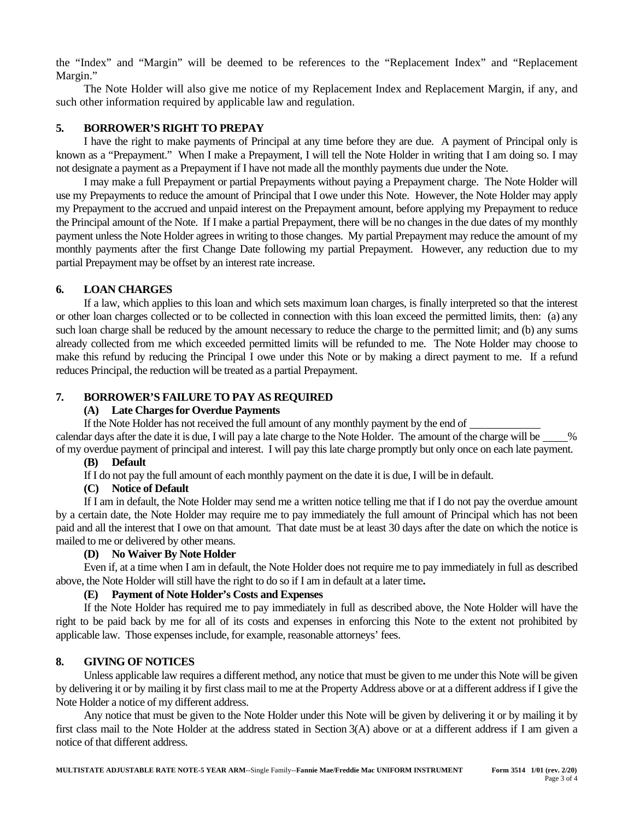the "Index" and "Margin" will be deemed to be references to the "Replacement Index" and "Replacement Margin."

The Note Holder will also give me notice of my Replacement Index and Replacement Margin, if any, and such other information required by applicable law and regulation.

# **5. BORROWER'S RIGHT TO PREPAY**

I have the right to make payments of Principal at any time before they are due. A payment of Principal only is known as a "Prepayment." When I make a Prepayment, I will tell the Note Holder in writing that I am doing so. I may not designate a payment as a Prepayment if I have not made all the monthly payments due under the Note.

I may make a full Prepayment or partial Prepayments without paying a Prepayment charge. The Note Holder will use my Prepayments to reduce the amount of Principal that I owe under this Note. However, the Note Holder may apply my Prepayment to the accrued and unpaid interest on the Prepayment amount, before applying my Prepayment to reduce the Principal amount of the Note. If I make a partial Prepayment, there will be no changes in the due dates of my monthly payment unless the Note Holder agrees in writing to those changes. My partial Prepayment may reduce the amount of my monthly payments after the first Change Date following my partial Prepayment. However, any reduction due to my partial Prepayment may be offset by an interest rate increase.

# **6. LOAN CHARGES**

If a law, which applies to this loan and which sets maximum loan charges, is finally interpreted so that the interest or other loan charges collected or to be collected in connection with this loan exceed the permitted limits, then: (a) any such loan charge shall be reduced by the amount necessary to reduce the charge to the permitted limit; and (b) any sums already collected from me which exceeded permitted limits will be refunded to me. The Note Holder may choose to make this refund by reducing the Principal I owe under this Note or by making a direct payment to me. If a refund reduces Principal, the reduction will be treated as a partial Prepayment.

### **7. BORROWER'S FAILURE TO PAY AS REQUIRED**

#### **(A) Late Charges for Overdue Payments**

If the Note Holder has not received the full amount of any monthly payment by the end of

calendar days after the date it is due, I will pay a late charge to the Note Holder. The amount of the charge will be % of my overdue payment of principal and interest. I will pay this late charge promptly but only once on each late payment.

#### **(B) Default**

If I do not pay the full amount of each monthly payment on the date it is due, I will be in default.

### **(C) Notice of Default**

If I am in default, the Note Holder may send me a written notice telling me that if I do not pay the overdue amount by a certain date, the Note Holder may require me to pay immediately the full amount of Principal which has not been paid and all the interest that I owe on that amount. That date must be at least 30 days after the date on which the notice is mailed to me or delivered by other means.

### **(D) No Waiver By Note Holder**

Even if, at a time when I am in default, the Note Holder does not require me to pay immediately in full as described above, the Note Holder will still have the right to do so if I am in default at a later time**.**

### **(E) Payment of Note Holder's Costs and Expenses**

If the Note Holder has required me to pay immediately in full as described above, the Note Holder will have the right to be paid back by me for all of its costs and expenses in enforcing this Note to the extent not prohibited by applicable law. Those expenses include, for example, reasonable attorneys' fees.

## **8. GIVING OF NOTICES**

Unless applicable law requires a different method, any notice that must be given to me under this Note will be given by delivering it or by mailing it by first class mail to me at the Property Address above or at a different address if I give the Note Holder a notice of my different address.

Any notice that must be given to the Note Holder under this Note will be given by delivering it or by mailing it by first class mail to the Note Holder at the address stated in Section 3(A) above or at a different address if I am given a notice of that different address.